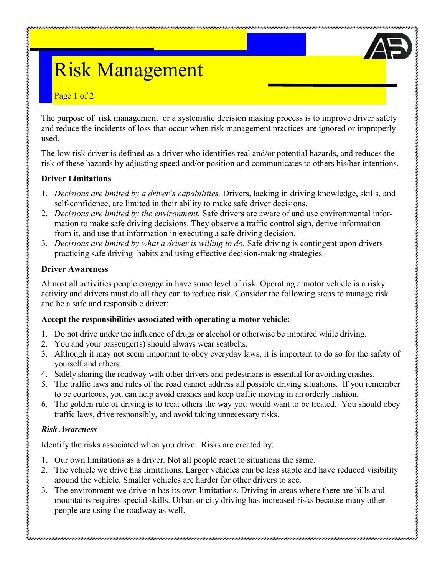# Risk Management

### Page 1 of 2

The purpose of risk management or a systematic decision making process is to improve driver safety and reduce the incidents of loss that occur when risk management practices are ignored or improperly used.

The low risk driver is defined as a driver who identifies real and/or potential hazards, and reduces the risk of these hazards by adjusting speed and/or position and communicates to others his/her intentions.

#### **Driver Limitations**

- 1. *Decisions are limited by a driver's capabilities.* Drivers, lacking in driving knowledge, skills, and self-confidence, are limited in their ability to make safe driver decisions.
- 2. *Decisions are limited by the environment.* Safe drivers are aware of and use environmental information to make safe driving decisions. They observe a traffic control sign, derive information from it, and use that information in executing a safe driving decision.
- 3. *Decisions are limited by what a driver is willing to do.* Safe driving is contingent upon drivers practicing safe driving habits and using effective decision-making strategies.

#### **Driver Awareness**

Almost all activities people engage in have some level of risk. Operating a motor vehicle is a risky activity and drivers must do all they can to reduce risk. Consider the following steps to manage risk and be a safe and responsible driver:

# **Accept the responsibilities associated with operating a motor vehicle:**

- 1. Do not drive under the influence of drugs or alcohol or otherwise be impaired while driving.
- 2. You and your passenger(s) should always wear seatbelts.
- 3. Although it may not seem important to obey everyday laws, it is important to do so for the safety of yourself and others.
- 4. Safely sharing the roadway with other drivers and pedestrians is essential for avoiding crashes.
- 5. The traffic laws and rules of the road cannot address all possible driving situations. If you remember to be courteous, you can help avoid crashes and keep traffic moving in an orderly fashion.
- 6. The golden rule of driving is to treat others the way you would want to be treated. You should obey traffic laws, drive responsibly, and avoid taking unnecessary risks.

# *Risk Awareness*

Identify the risks associated when you drive. Risks are created by:

- Our own limitations as a driver. Not all people react to situations the same.
- 2. The vehicle we drive has limitations. Larger vehicles can be less stable and have reduced visibility around the vehicle. Smaller vehicles are harder for other drivers to see.
- 3. The environment we drive in has its own limitations. Driving in areas where there are hills and mountains requires special skills. Urban or city driving has increased risks because many other people are using the roadway as well.